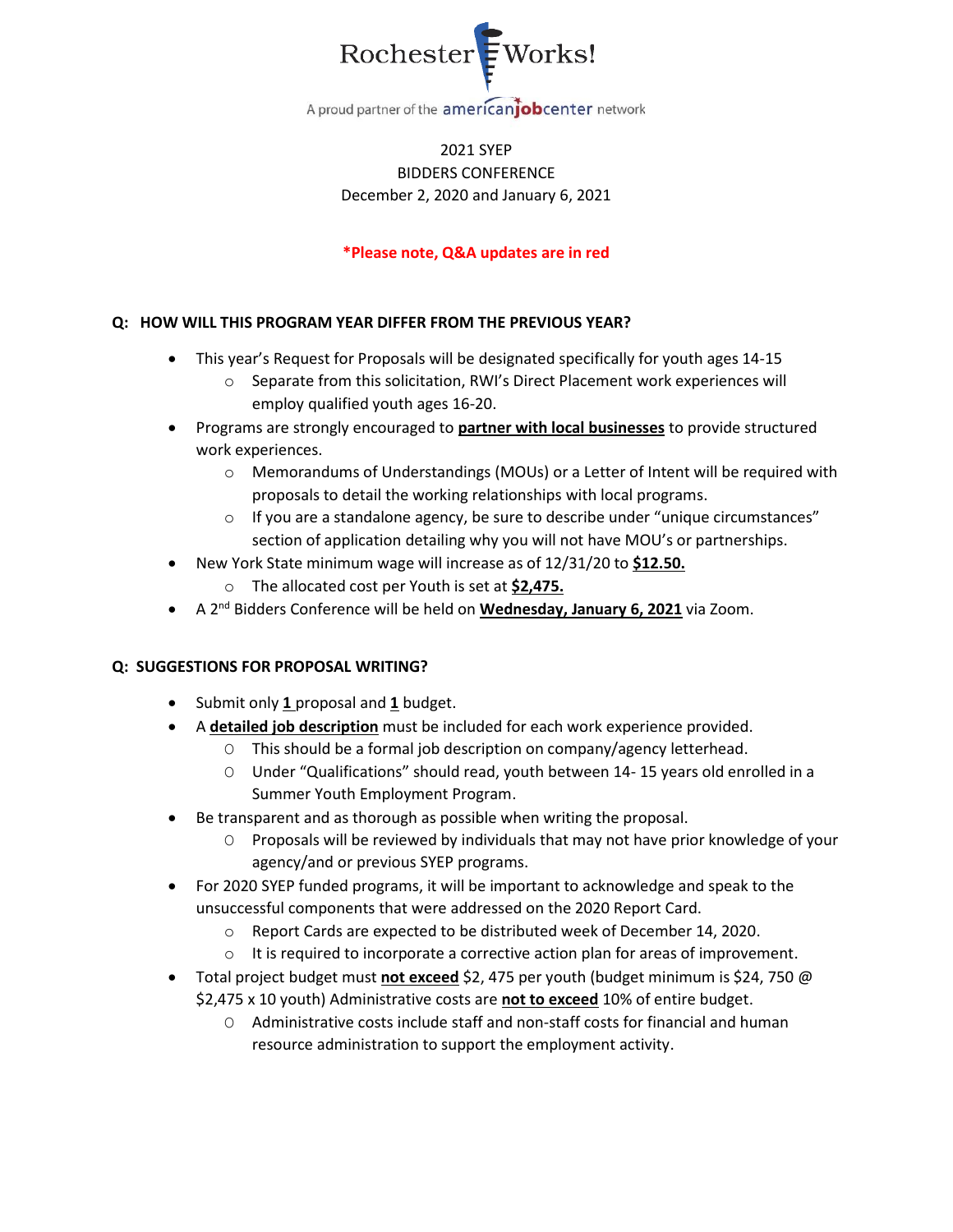

A proud partner of the americanjobcenter network

# 2021 SYEP BIDDERS CONFERENCE December 2, 2020 and January 6, 2021

### **\*Please note, Q&A updates are in red**

### **Q: HOW WILL THIS PROGRAM YEAR DIFFER FROM THE PREVIOUS YEAR?**

- This year's Request for Proposals will be designated specifically for youth ages 14-15
	- o Separate from this solicitation, RWI's Direct Placement work experiences will employ qualified youth ages 16-20.
- Programs are strongly encouraged to **partner with local businesses** to provide structured work experiences.
	- o Memorandums of Understandings (MOUs) or a Letter of Intent will be required with proposals to detail the working relationships with local programs.
	- $\circ$  If you are a standalone agency, be sure to describe under "unique circumstances" section of application detailing why you will not have MOU's or partnerships.
- New York State minimum wage will increase as of 12/31/20 to **\$12.50.**
	- o The allocated cost per Youth is set at **\$2,475.**
- A 2nd Bidders Conference will be held on **Wednesday, January 6, 2021** via Zoom.

### **Q: SUGGESTIONS FOR PROPOSAL WRITING?**

- Submit only **1** proposal and **1** budget.
- A **detailed job description** must be included for each work experience provided.
	- O This should be a formal job description on company/agency letterhead.
	- O Under "Qualifications" should read, youth between 14- 15 years old enrolled in a Summer Youth Employment Program.
- Be transparent and as thorough as possible when writing the proposal.
	- O Proposals will be reviewed by individuals that may not have prior knowledge of your agency/and or previous SYEP programs.
- For 2020 SYEP funded programs, it will be important to acknowledge and speak to the unsuccessful components that were addressed on the 2020 Report Card.
	- o Report Cards are expected to be distributed week of December 14, 2020.
	- $\circ$  It is required to incorporate a corrective action plan for areas of improvement.
- Total project budget must not exceed \$2, 475 per youth (budget minimum is \$24, 750 @ \$2,475 x 10 youth) Administrative costs are **not to exceed** 10% of entire budget.
	- O Administrative costs include staff and non-staff costs for financial and human resource administration to support the employment activity.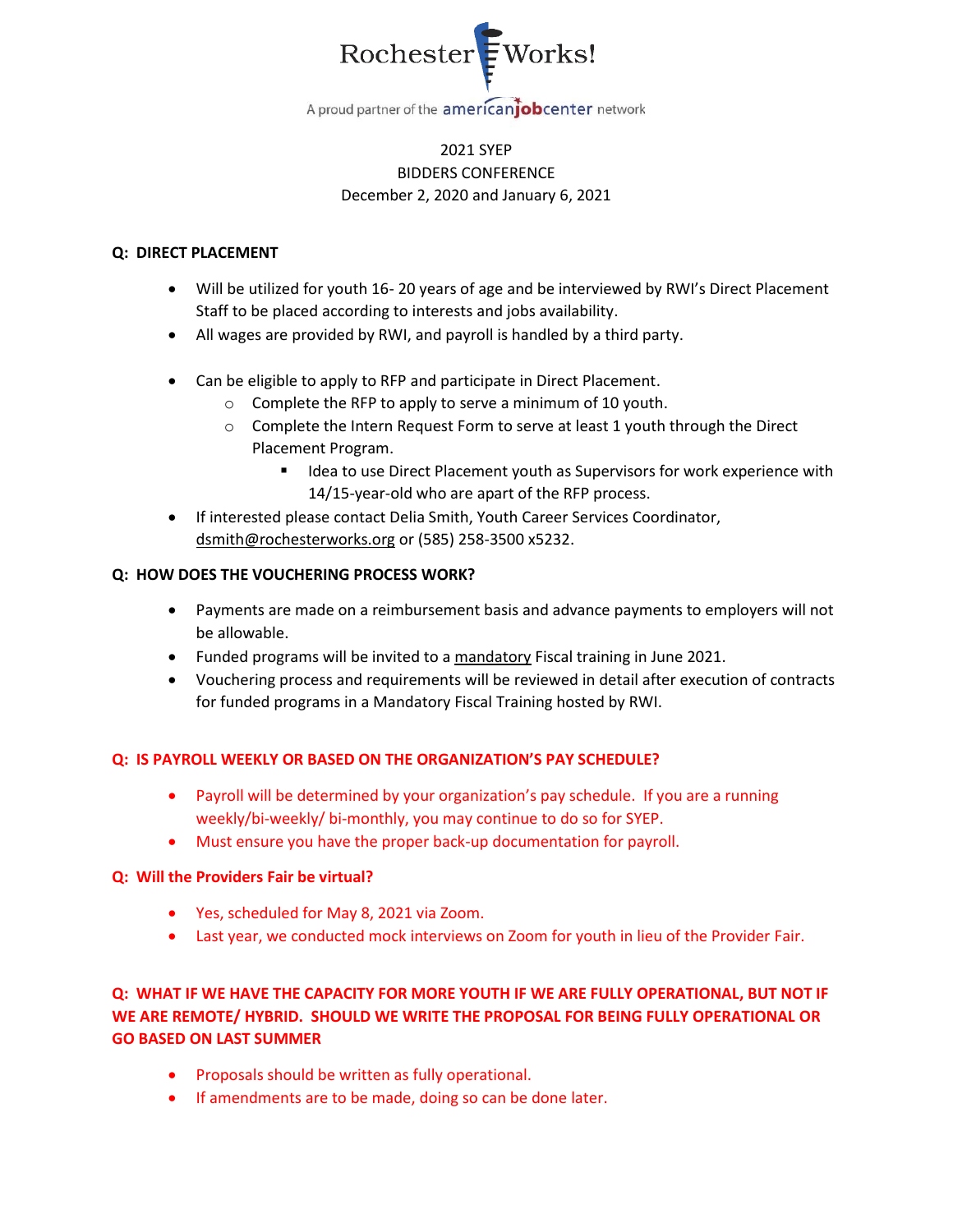

## 2021 SYEP BIDDERS CONFERENCE December 2, 2020 and January 6, 2021

#### **Q: DIRECT PLACEMENT**

- Will be utilized for youth 16- 20 years of age and be interviewed by RWI's Direct Placement Staff to be placed according to interests and jobs availability.
- All wages are provided by RWI, and payroll is handled by a third party.
- Can be eligible to apply to RFP and participate in Direct Placement.
	- o Complete the RFP to apply to serve a minimum of 10 youth.
	- o Complete the Intern Request Form to serve at least 1 youth through the Direct Placement Program.
		- Idea to use Direct Placement youth as Supervisors for work experience with 14/15-year-old who are apart of the RFP process.
- If interested please contact Delia Smith, Youth Career Services Coordinator, [dsmith@rochesterworks.org](mailto:dsmith@rochesterworks.org) or (585) 258-3500 x5232.

#### **Q: HOW DOES THE VOUCHERING PROCESS WORK?**

- Payments are made on a reimbursement basis and advance payments to employers will not be allowable.
- Funded programs will be invited to a mandatory Fiscal training in June 2021.
- Vouchering process and requirements will be reviewed in detail after execution of contracts for funded programs in a Mandatory Fiscal Training hosted by RWI.

### **Q: IS PAYROLL WEEKLY OR BASED ON THE ORGANIZATION'S PAY SCHEDULE?**

- Payroll will be determined by your organization's pay schedule. If you are a running weekly/bi-weekly/ bi-monthly, you may continue to do so for SYEP.
- Must ensure you have the proper back-up documentation for payroll.

### **Q: Will the Providers Fair be virtual?**

- Yes, scheduled for May 8, 2021 via Zoom.
- Last year, we conducted mock interviews on Zoom for youth in lieu of the Provider Fair.

# **Q: WHAT IF WE HAVE THE CAPACITY FOR MORE YOUTH IF WE ARE FULLY OPERATIONAL, BUT NOT IF WE ARE REMOTE/ HYBRID. SHOULD WE WRITE THE PROPOSAL FOR BEING FULLY OPERATIONAL OR GO BASED ON LAST SUMMER**

- Proposals should be written as fully operational.
- If amendments are to be made, doing so can be done later.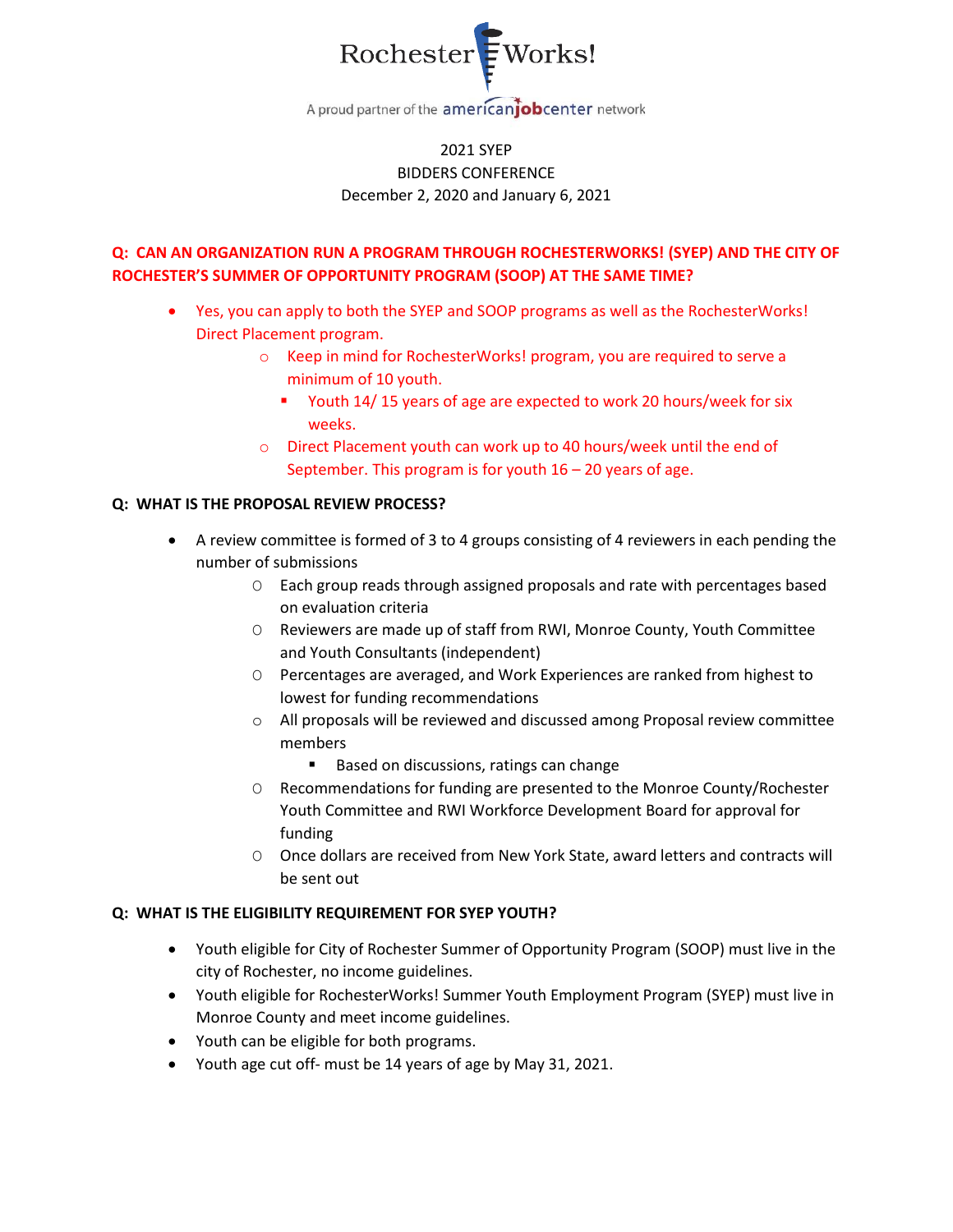

# 2021 SYEP BIDDERS CONFERENCE December 2, 2020 and January 6, 2021

# **Q: CAN AN ORGANIZATION RUN A PROGRAM THROUGH ROCHESTERWORKS! (SYEP) AND THE CITY OF ROCHESTER'S SUMMER OF OPPORTUNITY PROGRAM (SOOP) AT THE SAME TIME?**

- Yes, you can apply to both the SYEP and SOOP programs as well as the RochesterWorks! Direct Placement program.
	- o Keep in mind for RochesterWorks! program, you are required to serve a minimum of 10 youth.
		- Youth 14/15 years of age are expected to work 20 hours/week for six weeks.
	- o Direct Placement youth can work up to 40 hours/week until the end of September. This program is for youth 16 – 20 years of age.

### **Q: WHAT IS THE PROPOSAL REVIEW PROCESS?**

- A review committee is formed of 3 to 4 groups consisting of 4 reviewers in each pending the number of submissions
	- O Each group reads through assigned proposals and rate with percentages based on evaluation criteria
	- O Reviewers are made up of staff from RWI, Monroe County, Youth Committee and Youth Consultants (independent)
	- O Percentages are averaged, and Work Experiences are ranked from highest to lowest for funding recommendations
	- o All proposals will be reviewed and discussed among Proposal review committee members
		- Based on discussions, ratings can change
	- O Recommendations for funding are presented to the Monroe County/Rochester Youth Committee and RWI Workforce Development Board for approval for funding
	- O Once dollars are received from New York State, award letters and contracts will be sent out

### **Q: WHAT IS THE ELIGIBILITY REQUIREMENT FOR SYEP YOUTH?**

- Youth eligible for City of Rochester Summer of Opportunity Program (SOOP) must live in the city of Rochester, no income guidelines.
- Youth eligible for RochesterWorks! Summer Youth Employment Program (SYEP) must live in Monroe County and meet income guidelines.
- Youth can be eligible for both programs.
- Youth age cut off- must be 14 years of age by May 31, 2021.